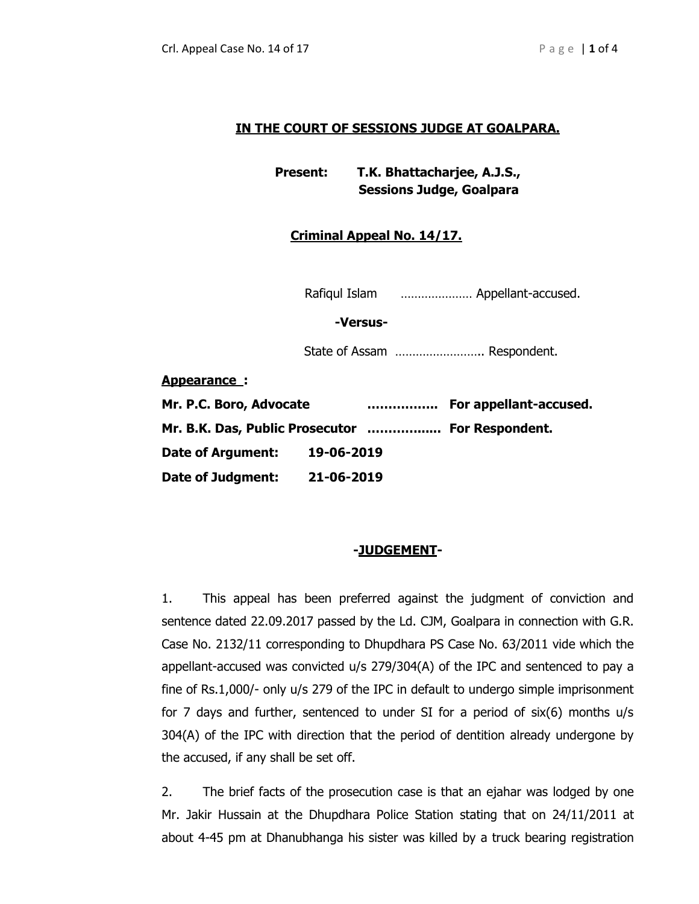# **IN THE COURT OF SESSIONS JUDGE AT GOALPARA.**

**Present: T.K. Bhattacharjee, A.J.S., Sessions Judge, Goalpara**

# **Criminal Appeal No. 14/17.**

Rafiqul Islam ………………… Appellant-accused.

 **-Versus-**

State of Assam …………………….. Respondent.

**Appearance :**

| Mr. P.C. Boro, Advocate                          |            | For appellant-accused. |
|--------------------------------------------------|------------|------------------------|
| Mr. B.K. Das, Public Prosecutor  For Respondent. |            |                        |
| <b>Date of Argument:</b>                         | 19-06-2019 |                        |
| <b>Date of Judgment:</b>                         | 21-06-2019 |                        |

## **-JUDGEMENT-**

1. This appeal has been preferred against the judgment of conviction and sentence dated 22.09.2017 passed by the Ld. CJM, Goalpara in connection with G.R. Case No. 2132/11 corresponding to Dhupdhara PS Case No. 63/2011 vide which the appellant-accused was convicted u/s 279/304(A) of the IPC and sentenced to pay a fine of Rs.1,000/- only u/s 279 of the IPC in default to undergo simple imprisonment for 7 days and further, sentenced to under SI for a period of six(6) months u/s 304(A) of the IPC with direction that the period of dentition already undergone by the accused, if any shall be set off.

2. The brief facts of the prosecution case is that an ejahar was lodged by one Mr. Jakir Hussain at the Dhupdhara Police Station stating that on 24/11/2011 at about 4-45 pm at Dhanubhanga his sister was killed by a truck bearing registration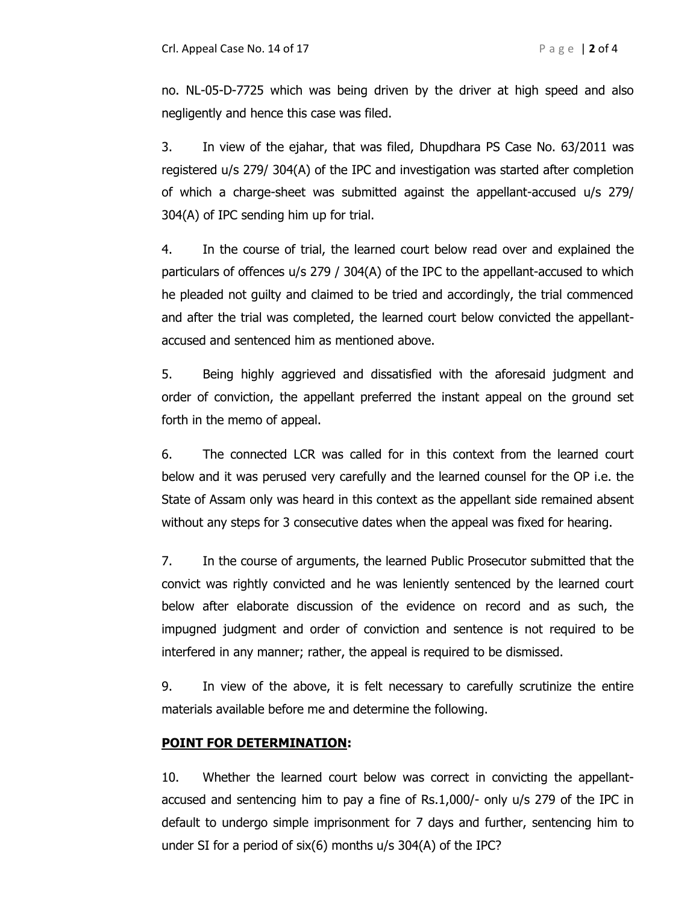no. NL-05-D-7725 which was being driven by the driver at high speed and also negligently and hence this case was filed.

3. In view of the ejahar, that was filed, Dhupdhara PS Case No. 63/2011 was registered u/s 279/ 304(A) of the IPC and investigation was started after completion of which a charge-sheet was submitted against the appellant-accused u/s 279/ 304(A) of IPC sending him up for trial.

4. In the course of trial, the learned court below read over and explained the particulars of offences u/s 279 / 304(A) of the IPC to the appellant-accused to which he pleaded not guilty and claimed to be tried and accordingly, the trial commenced and after the trial was completed, the learned court below convicted the appellantaccused and sentenced him as mentioned above.

5. Being highly aggrieved and dissatisfied with the aforesaid judgment and order of conviction, the appellant preferred the instant appeal on the ground set forth in the memo of appeal.

6. The connected LCR was called for in this context from the learned court below and it was perused very carefully and the learned counsel for the OP i.e. the State of Assam only was heard in this context as the appellant side remained absent without any steps for 3 consecutive dates when the appeal was fixed for hearing.

7. In the course of arguments, the learned Public Prosecutor submitted that the convict was rightly convicted and he was leniently sentenced by the learned court below after elaborate discussion of the evidence on record and as such, the impugned judgment and order of conviction and sentence is not required to be interfered in any manner; rather, the appeal is required to be dismissed.

9. In view of the above, it is felt necessary to carefully scrutinize the entire materials available before me and determine the following.

## **POINT FOR DETERMINATION:**

10. Whether the learned court below was correct in convicting the appellantaccused and sentencing him to pay a fine of Rs.1,000/- only u/s 279 of the IPC in default to undergo simple imprisonment for 7 days and further, sentencing him to under SI for a period of six(6) months u/s 304(A) of the IPC?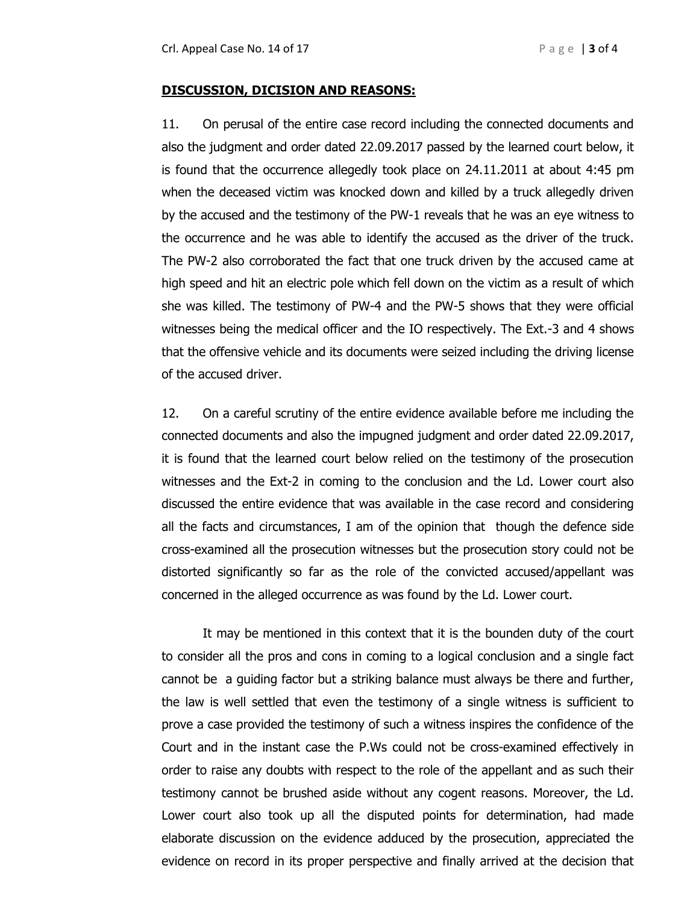### **DISCUSSION, DICISION AND REASONS:**

11. On perusal of the entire case record including the connected documents and also the judgment and order dated 22.09.2017 passed by the learned court below, it is found that the occurrence allegedly took place on 24.11.2011 at about 4:45 pm when the deceased victim was knocked down and killed by a truck allegedly driven by the accused and the testimony of the PW-1 reveals that he was an eye witness to the occurrence and he was able to identify the accused as the driver of the truck. The PW-2 also corroborated the fact that one truck driven by the accused came at high speed and hit an electric pole which fell down on the victim as a result of which she was killed. The testimony of PW-4 and the PW-5 shows that they were official witnesses being the medical officer and the IO respectively. The Ext.-3 and 4 shows that the offensive vehicle and its documents were seized including the driving license of the accused driver.

12. On a careful scrutiny of the entire evidence available before me including the connected documents and also the impugned judgment and order dated 22.09.2017, it is found that the learned court below relied on the testimony of the prosecution witnesses and the Ext-2 in coming to the conclusion and the Ld. Lower court also discussed the entire evidence that was available in the case record and considering all the facts and circumstances, I am of the opinion that though the defence side cross-examined all the prosecution witnesses but the prosecution story could not be distorted significantly so far as the role of the convicted accused/appellant was concerned in the alleged occurrence as was found by the Ld. Lower court.

It may be mentioned in this context that it is the bounden duty of the court to consider all the pros and cons in coming to a logical conclusion and a single fact cannot be a guiding factor but a striking balance must always be there and further, the law is well settled that even the testimony of a single witness is sufficient to prove a case provided the testimony of such a witness inspires the confidence of the Court and in the instant case the P.Ws could not be cross-examined effectively in order to raise any doubts with respect to the role of the appellant and as such their testimony cannot be brushed aside without any cogent reasons. Moreover, the Ld. Lower court also took up all the disputed points for determination, had made elaborate discussion on the evidence adduced by the prosecution, appreciated the evidence on record in its proper perspective and finally arrived at the decision that